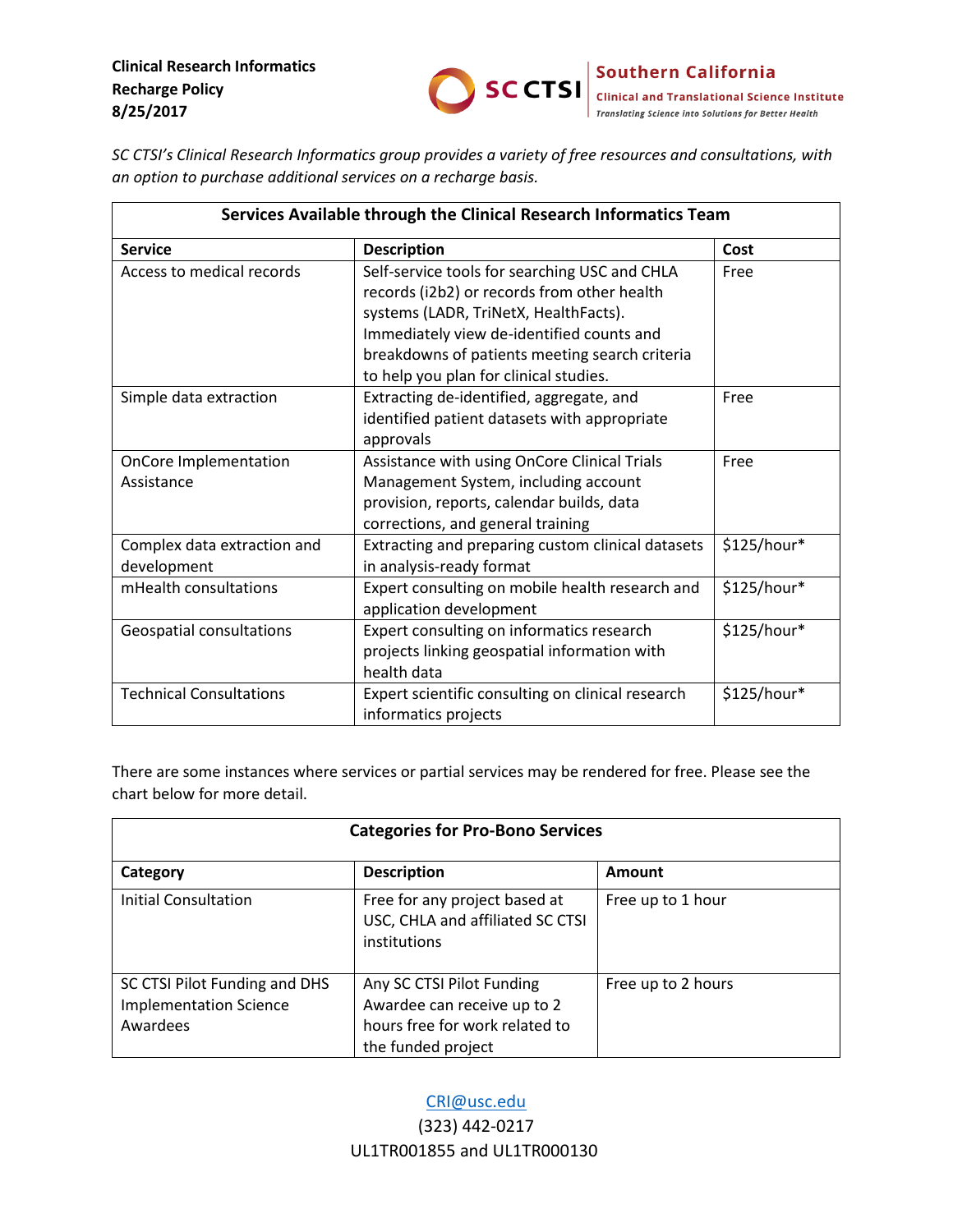

*SC CTSI's Clinical Research Informatics group provides a variety of free resources and consultations, with an option to purchase additional services on a recharge basis.*

| Services Available through the Clinical Research Informatics Team |                                                                                                                                                                                                                                                                                |             |  |
|-------------------------------------------------------------------|--------------------------------------------------------------------------------------------------------------------------------------------------------------------------------------------------------------------------------------------------------------------------------|-------------|--|
| <b>Service</b>                                                    | <b>Description</b>                                                                                                                                                                                                                                                             | Cost        |  |
| Access to medical records                                         | Self-service tools for searching USC and CHLA<br>records (i2b2) or records from other health<br>systems (LADR, TriNetX, HealthFacts).<br>Immediately view de-identified counts and<br>breakdowns of patients meeting search criteria<br>to help you plan for clinical studies. | Free        |  |
| Simple data extraction                                            | Extracting de-identified, aggregate, and<br>identified patient datasets with appropriate<br>approvals                                                                                                                                                                          | Free        |  |
| OnCore Implementation<br>Assistance                               | Assistance with using OnCore Clinical Trials<br>Management System, including account<br>provision, reports, calendar builds, data<br>corrections, and general training                                                                                                         | Free        |  |
| Complex data extraction and<br>development                        | Extracting and preparing custom clinical datasets<br>in analysis-ready format                                                                                                                                                                                                  | \$125/hour* |  |
| mHealth consultations                                             | Expert consulting on mobile health research and<br>application development                                                                                                                                                                                                     | \$125/hour* |  |
| Geospatial consultations                                          | Expert consulting on informatics research<br>projects linking geospatial information with<br>health data                                                                                                                                                                       | \$125/hour* |  |
| <b>Technical Consultations</b>                                    | Expert scientific consulting on clinical research<br>informatics projects                                                                                                                                                                                                      | \$125/hour* |  |

There are some instances where services or partial services may be rendered for free. Please see the chart below for more detail.

| <b>Categories for Pro-Bono Services</b>                                    |                                                                                                                  |                    |  |  |
|----------------------------------------------------------------------------|------------------------------------------------------------------------------------------------------------------|--------------------|--|--|
| Category                                                                   | <b>Description</b>                                                                                               | <b>Amount</b>      |  |  |
| Initial Consultation                                                       | Free for any project based at<br>USC, CHLA and affiliated SC CTSI<br>institutions                                | Free up to 1 hour  |  |  |
| SC CTSI Pilot Funding and DHS<br><b>Implementation Science</b><br>Awardees | Any SC CTSI Pilot Funding<br>Awardee can receive up to 2<br>hours free for work related to<br>the funded project | Free up to 2 hours |  |  |

# [CRI@usc.edu](mailto:CRI@usc.edu)

(323) 442-0217 UL1TR001855 and UL1TR000130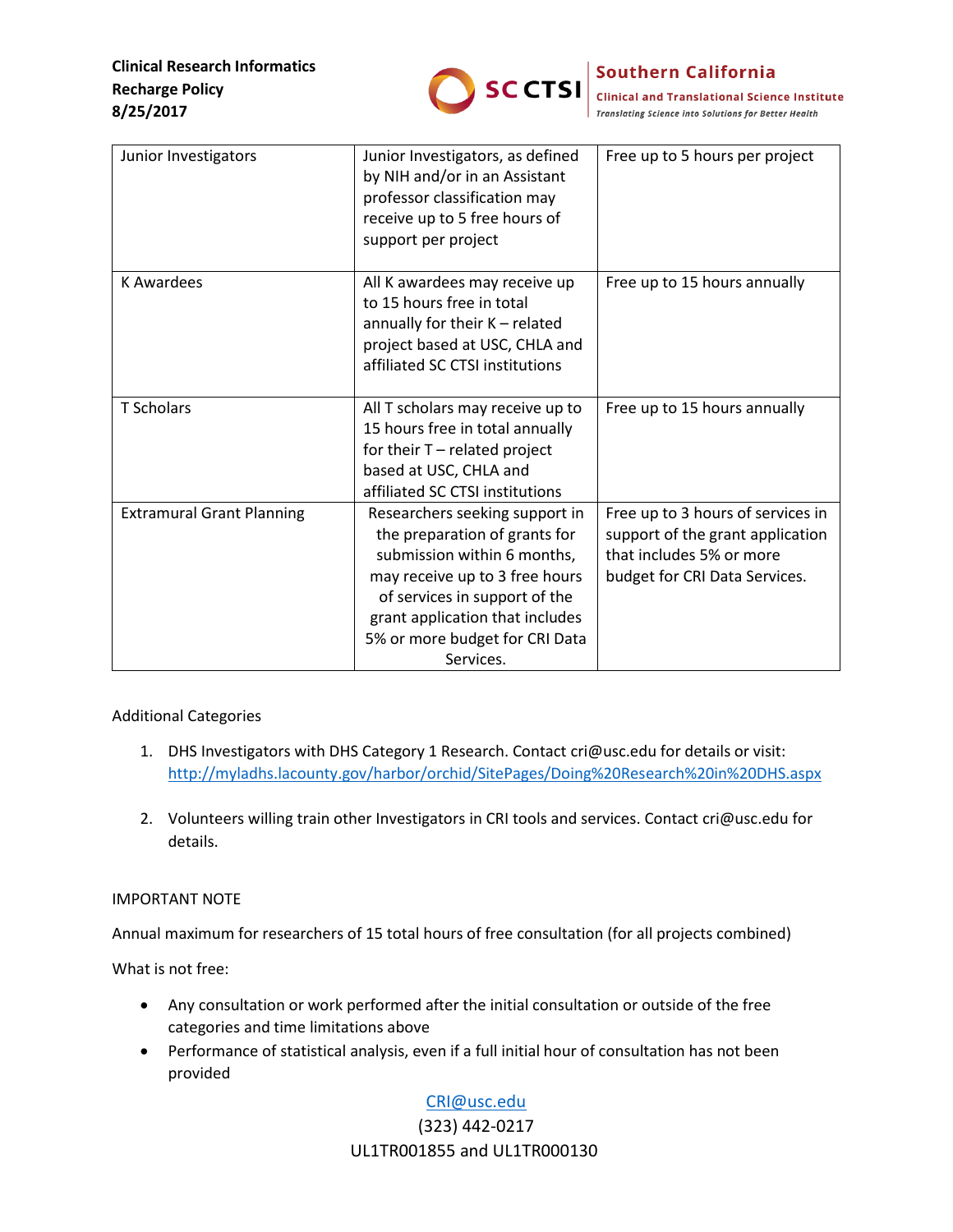

## **Southern California**

SCCTSI Clinical and Translational Science Institute **Translating Science into Solutions for Better Health** 

| Junior Investigators             | Junior Investigators, as defined<br>by NIH and/or in an Assistant<br>professor classification may<br>receive up to 5 free hours of<br>support per project                                                                                           | Free up to 5 hours per project                                                                                                     |
|----------------------------------|-----------------------------------------------------------------------------------------------------------------------------------------------------------------------------------------------------------------------------------------------------|------------------------------------------------------------------------------------------------------------------------------------|
| <b>K</b> Awardees                | All K awardees may receive up<br>to 15 hours free in total<br>annually for their K - related<br>project based at USC, CHLA and<br>affiliated SC CTSI institutions                                                                                   | Free up to 15 hours annually                                                                                                       |
| <b>T</b> Scholars                | All T scholars may receive up to<br>15 hours free in total annually<br>for their $T$ – related project<br>based at USC, CHLA and<br>affiliated SC CTSI institutions                                                                                 | Free up to 15 hours annually                                                                                                       |
| <b>Extramural Grant Planning</b> | Researchers seeking support in<br>the preparation of grants for<br>submission within 6 months,<br>may receive up to 3 free hours<br>of services in support of the<br>grant application that includes<br>5% or more budget for CRI Data<br>Services. | Free up to 3 hours of services in<br>support of the grant application<br>that includes 5% or more<br>budget for CRI Data Services. |

#### Additional Categories

- 1. DHS Investigators with DHS Category 1 Research. Contact cri@usc.edu for details or visit: [http://myladhs.lacounty.gov/harbor/orchid/SitePages/Doing%20Research%20in%20DHS.aspx](https://urldefense.proofpoint.com/v2/url?u=http-3A__myladhs.lacounty.gov_harbor_orchid_SitePages_Doing-2520Research-2520in-2520DHS.aspx&d=DwMFAg&c=clK7kQUTWtAVEOVIgvi0NU5BOUHhpN0H8p7CSfnc_gI&r=x5VuyDPqZBaJZRb7fYCSpA&m=MQ3_ht0JqoQazlCTEXpS-mUYg_dVt0SFbBxePkvffwc&s=yAXlVzeAh2lAiYYVbioSyk5K-BkeVruuFnoG8Xu6ctw&e=)
- 2. Volunteers willing train other Investigators in CRI tools and services. Contact cri@usc.edu for details.

#### IMPORTANT NOTE

Annual maximum for researchers of 15 total hours of free consultation (for all projects combined)

What is not free:

- Any consultation or work performed after the initial consultation or outside of the free categories and time limitations above
- Performance of statistical analysis, even if a full initial hour of consultation has not been provided

## [CRI@usc.edu](mailto:CRI@usc.edu)

### (323) 442-0217 UL1TR001855 and UL1TR000130